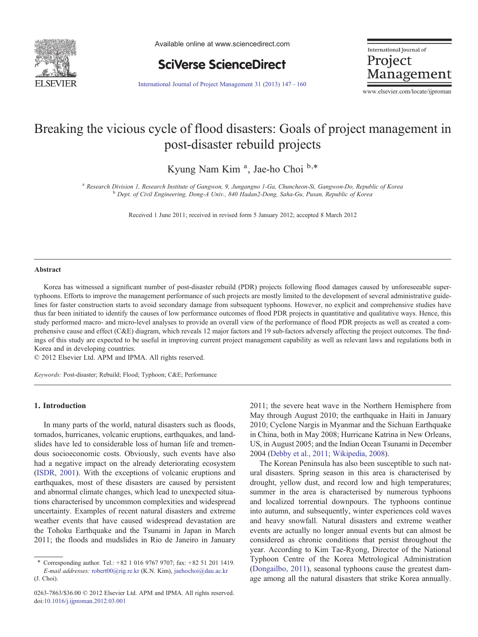

Available online at www.sciencedirect.com

**SciVerse ScienceDirect** 

International Journal of Project Management

[International Journal of Project Management 31 \(2013\) 147](http://dx.doi.org/10.1016/j.ijproman.2012.03.001)–160

www.elsevier.com/locate/ijproman

## Breaking the vicious cycle of flood disasters: Goals of project management in post-disaster rebuild projects

Kyung Nam Kim<sup>a</sup>, Jae-ho Choi<sup>b,\*</sup>

<sup>a</sup> Research Division 1, Research Institute of Gangwon, 9, Jungangno 1-Ga, Chuncheon-Si, Gangwon-Do, Republic of Korea<br><sup>b</sup> Dept. of Civil Engineering, Dong-A Univ., 840 Hadan2-Dong, Saha-Gu, Pusan, Republic of Korea

Received 1 June 2011; received in revised form 5 January 2012; accepted 8 March 2012

#### Abstract

Korea has witnessed a significant number of post-disaster rebuild (PDR) projects following flood damages caused by unforeseeable supertyphoons. Efforts to improve the management performance of such projects are mostly limited to the development of several administrative guidelines for faster construction starts to avoid secondary damage from subsequent typhoons. However, no explicit and comprehensive studies have thus far been initiated to identify the causes of low performance outcomes of flood PDR projects in quantitative and qualitative ways. Hence, this study performed macro- and micro-level analyses to provide an overall view of the performance of flood PDR projects as well as created a comprehensive cause and effect (C&E) diagram, which reveals 12 major factors and 19 sub-factors adversely affecting the project outcomes. The findings of this study are expected to be useful in improving current project management capability as well as relevant laws and regulations both in Korea and in developing countries.

© 2012 Elsevier Ltd. APM and IPMA. All rights reserved.

Keywords: Post-disaster; Rebuild; Flood; Typhoon; C&E; Performance

## 1. Introduction

In many parts of the world, natural disasters such as floods, tornados, hurricanes, volcanic eruptions, earthquakes, and landslides have led to considerable loss of human life and tremendous socioeconomic costs. Obviously, such events have also had a negative impact on the already deteriorating ecosystem ([ISDR, 2001\)](#page--1-0). With the exceptions of volcanic eruptions and earthquakes, most of these disasters are caused by persistent and abnormal climate changes, which lead to unexpected situations characterised by uncommon complexities and widespread uncertainty. Examples of recent natural disasters and extreme weather events that have caused widespread devastation are the Tohoku Earthquake and the Tsunami in Japan in March 2011; the floods and mudslides in Rio de Janeiro in January 2011; the severe heat wave in the Northern Hemisphere from May through August 2010; the earthquake in Haiti in January 2010; Cyclone Nargis in Myanmar and the Sichuan Earthquake in China, both in May 2008; Hurricane Katrina in New Orleans, US, in August 2005; and the Indian Ocean Tsunami in December 2004 [\(Debby et al., 2011; Wikipedia, 2008\)](#page--1-0).

The Korean Peninsula has also been susceptible to such natural disasters. Spring season in this area is characterised by drought, yellow dust, and record low and high temperatures; summer in the area is characterised by numerous typhoons and localized torrential downpours. The typhoons continue into autumn, and subsequently, winter experiences cold waves and heavy snowfall. Natural disasters and extreme weather events are actually no longer annual events but can almost be considered as chronic conditions that persist throughout the year. According to Kim Tae-Ryong, Director of the National Typhoon Centre of the Korea Metrological Administration ([Dongailbo, 2011](#page--1-0)), seasonal typhoons cause the greatest damage among all the natural disasters that strike Korea annually.

<sup>⁎</sup> Corresponding author. Tel.: +82 1 016 9767 9707; fax: +82 51 201 1419. E-mail addresses: [robert00@rig.re.kr](mailto:robert00@rig.re.kr) (K.N. Kim), [jaehochoi@dau.ac.kr](mailto:jaehochoi@dau.ac.kr) (J. Choi).

<sup>0263-7863/\$36.00 © 2012</sup> Elsevier Ltd. APM and IPMA. All rights reserved. doi:[10.1016/j.ijproman.2012.03.001](http://dx.doi.org/10.1016/j.ijproman.2012.03.001)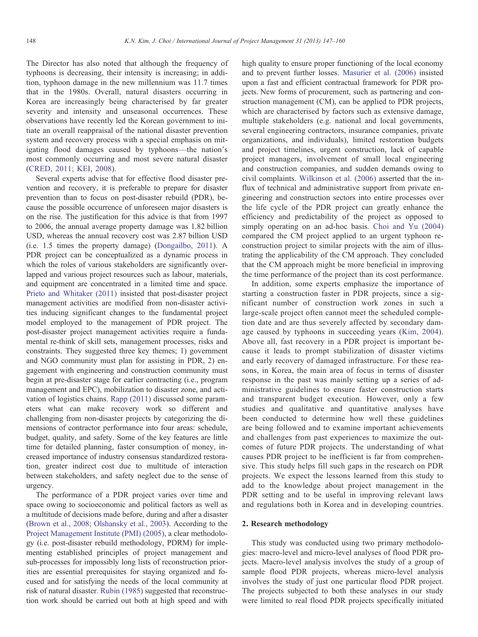The Director has also noted that although the frequency of typhoons is decreasing, their intensity is increasing; in addition, typhoon damage in the new millennium was 11.7 times that in the 1980s. Overall, natural disasters occurring in Korea are increasingly being characterised by far greater severity and intensity and unseasonal occurrences. These observations have recently led the Korean government to initiate an overall reappraisal of the national disaster prevention system and recovery process with a special emphasis on mitigating flood damages caused by typhoons—the nation's most commonly occurring and most severe natural disaster ([CRED, 2011; KEI, 2008](#page--1-0)).

Several experts advise that for effective flood disaster prevention and recovery, it is preferable to prepare for disaster prevention than to focus on post-disaster rebuild (PDR), because the possible occurrence of unforeseen major disasters is on the rise. The justification for this advice is that from 1997 to 2006, the annual average property damage was 1.82 billion USD, whereas the annual recovery cost was 2.87 billion USD (i.e. 1.5 times the property damage) [\(Dongailbo, 2011\)](#page--1-0). A PDR project can be conceptualized as a dynamic process in which the roles of various stakeholders are significantly overlapped and various project resources such as labour, materials, and equipment are concentrated in a limited time and space. [Prieto and Whitaker \(2011\)](#page--1-0) insisted that post-disaster project management activities are modified from non-disaster activities inducing significant changes to the fundamental project model employed to the management of PDR project. The post-disaster project management activities require a fundamental re-think of skill sets, management processes, risks and constraints. They suggested three key themes; 1) government and NGO community must plan for assisting in PDR, 2) engagement with engineering and construction community must begin at pre-disaster stage for earlier contracting (i.e., program management and EPC), mobilization to disaster zone, and activation of logistics chains. [Rapp \(2011\)](#page--1-0) discussed some parameters what can make recovery work so different and challenging from non-disaster projects by categorizing the dimensions of contractor performance into four areas: schedule, budget, quality, and safety. Some of the key features are little time for detailed planning, faster consumption of money, increased importance of industry consensus standardized restoration, greater indirect cost due to multitude of interaction between stakeholders, and safety neglect due to the sense of urgency.

The performance of a PDR project varies over time and space owing to socioeconomic and political factors as well as a multitude of decisions made before, during and after a disaster ([Brown et al., 2008; Olshansky et al., 2003](#page--1-0)). According to the [Project Management Institute \(PMI\) \(2005\),](#page--1-0) a clear methodology (i.e. post-disaster rebuild methodology, PDRM) for implementing established principles of project management and sub-processes for impossibly long lists of reconstruction priorities are essential prerequisites for staying organized and focused and for satisfying the needs of the local community at risk of natural disaster. [Rubin \(1985\)](#page--1-0) suggested that reconstruction work should be carried out both at high speed and with

high quality to ensure proper functioning of the local economy and to prevent further losses. [Masurier et al. \(2006\)](#page--1-0) insisted upon a fast and efficient contractual framework for PDR projects. New forms of procurement, such as partnering and construction management (CM), can be applied to PDR projects, which are characterised by factors such as extensive damage, multiple stakeholders (e.g. national and local governments, several engineering contractors, insurance companies, private organizations, and individuals), limited restoration budgets and project timelines, urgent construction, lack of capable project managers, involvement of small local engineering and construction companies, and sudden demands owing to civil complaints. [Wilkinson et al. \(2006\)](#page--1-0) asserted that the influx of technical and administrative support from private engineering and construction sectors into entire processes over the life cycle of the PDR project can greatly enhance the efficiency and predictability of the project as opposed to simply operating on an ad-hoc basis. [Choi and Yu \(2004\)](#page--1-0) compared the CM project applied to an urgent typhoon reconstruction project to similar projects with the aim of illustrating the applicability of the CM approach. They concluded that the CM approach might be more beneficial in improving the time performance of the project than its cost performance.

In addition, some experts emphasize the importance of starting a construction faster in PDR projects, since a significant number of construction work zones in such a large-scale project often cannot meet the scheduled completion date and are thus severely affected by secondary damage caused by typhoons in succeeding years ([Kim, 2004\)](#page--1-0). Above all, fast recovery in a PDR project is important because it leads to prompt stabilization of disaster victims and early recovery of damaged infrastructure. For these reasons, in Korea, the main area of focus in terms of disaster response in the past was mainly setting up a series of administrative guidelines to ensure faster construction starts and transparent budget execution. However, only a few studies and qualitative and quantitative analyses have been conducted to determine how well these guidelines are being followed and to examine important achievements and challenges from past experiences to maximize the outcomes of future PDR projects. The understanding of what causes PDR project to be inefficient is far from comprehensive. This study helps fill such gaps in the research on PDR projects. We expect the lessons learned from this study to add to the knowledge about project management in the PDR setting and to be useful in improving relevant laws and regulations both in Korea and in developing countries.

### 2. Research methodology

This study was conducted using two primary methodologies: macro-level and micro-level analyses of flood PDR projects. Macro-level analysis involves the study of a group of sample flood PDR projects, whereas micro-level analysis involves the study of just one particular flood PDR project. The projects subjected to both these analyses in our study were limited to real flood PDR projects specifically initiated